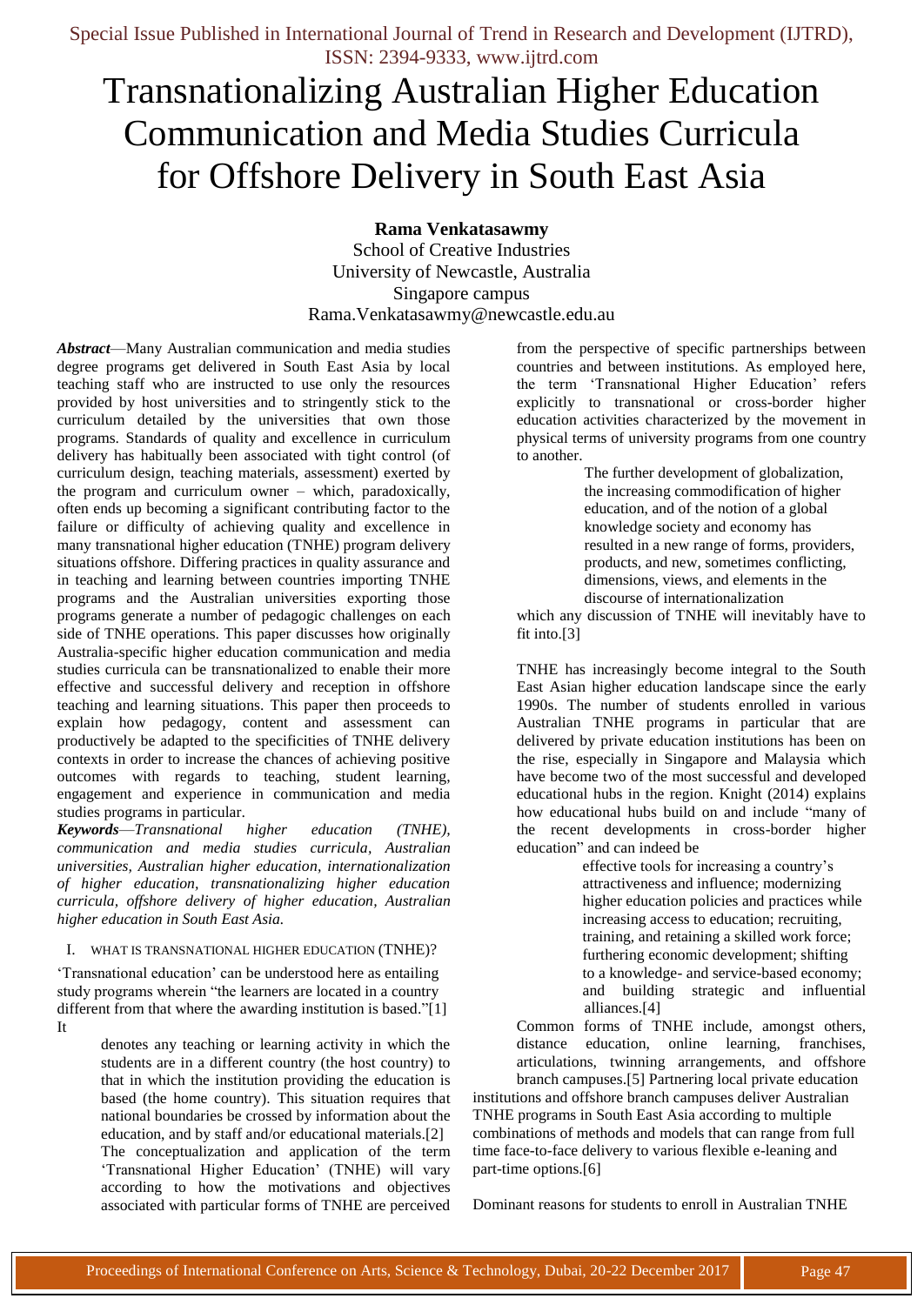# Transnationalizing Australian Higher Education Communication and Media Studies Curricula for Offshore Delivery in South East Asia

**Rama Venkatasawmy**

School of Creative Industries University of Newcastle, Australia Singapore campus [Rama.Venkatasawmy@newcastle.edu.au](mailto:Rama.Venkatasawmy@newcastle.edu.au)

*Abstract*—Many Australian communication and media studies degree programs get delivered in South East Asia by local teaching staff who are instructed to use only the resources provided by host universities and to stringently stick to the curriculum detailed by the universities that own those programs. Standards of quality and excellence in curriculum delivery has habitually been associated with tight control (of curriculum design, teaching materials, assessment) exerted by the program and curriculum owner – which, paradoxically, often ends up becoming a significant contributing factor to the failure or difficulty of achieving quality and excellence in many transnational higher education (TNHE) program delivery situations offshore. Differing practices in quality assurance and in teaching and learning between countries importing TNHE programs and the Australian universities exporting those programs generate a number of pedagogic challenges on each side of TNHE operations. This paper discusses how originally Australia-specific higher education communication and media studies curricula can be transnationalized to enable their more effective and successful delivery and reception in offshore teaching and learning situations. This paper then proceeds to explain how pedagogy, content and assessment can productively be adapted to the specificities of TNHE delivery contexts in order to increase the chances of achieving positive outcomes with regards to teaching, student learning, engagement and experience in communication and media studies programs in particular.

*Keywords*—*Transnational higher education (TNHE), communication and media studies curricula, Australian universities, Australian higher education, internationalization of higher education, transnationalizing higher education curricula, offshore delivery of higher education, Australian higher education in South East Asia.*

#### I. WHAT IS TRANSNATIONAL HIGHER EDUCATION (TNHE)?

‗Transnational education' can be understood here as entailing study programs wherein "the learners are located in a country different from that where the awarding institution is based."[1] It

> denotes any teaching or learning activity in which the students are in a different country (the host country) to that in which the institution providing the education is based (the home country). This situation requires that national boundaries be crossed by information about the education, and by staff and/or educational materials.[2] The conceptualization and application of the term ‗Transnational Higher Education' (TNHE) will vary according to how the motivations and objectives associated with particular forms of TNHE are perceived

from the perspective of specific partnerships between countries and between institutions. As employed here, the term 'Transnational Higher Education' refers explicitly to transnational or cross-border higher education activities characterized by the movement in physical terms of university programs from one country to another.

> The further development of globalization, the increasing commodification of higher education, and of the notion of a global knowledge society and economy has resulted in a new range of forms, providers, products, and new, sometimes conflicting, dimensions, views, and elements in the discourse of internationalization

which any discussion of TNHE will inevitably have to fit into.[3]

TNHE has increasingly become integral to the South East Asian higher education landscape since the early 1990s. The number of students enrolled in various Australian TNHE programs in particular that are delivered by private education institutions has been on the rise, especially in Singapore and Malaysia which have become two of the most successful and developed educational hubs in the region. Knight (2014) explains how educational hubs build on and include "many of the recent developments in cross-border higher education" and can indeed be

effective tools for increasing a country's attractiveness and influence; modernizing higher education policies and practices while increasing access to education; recruiting, training, and retaining a skilled work force; furthering economic development; shifting to a knowledge- and service-based economy; and building strategic and influential alliances.[4]

Common forms of TNHE include, amongst others, distance education, online learning, franchises, articulations, twinning arrangements, and offshore branch campuses.[5] Partnering local private education

institutions and offshore branch campuses deliver Australian TNHE programs in South East Asia according to multiple combinations of methods and models that can range from full time face-to-face delivery to various flexible e-leaning and part-time options.[6]

Dominant reasons for students to enroll in Australian TNHE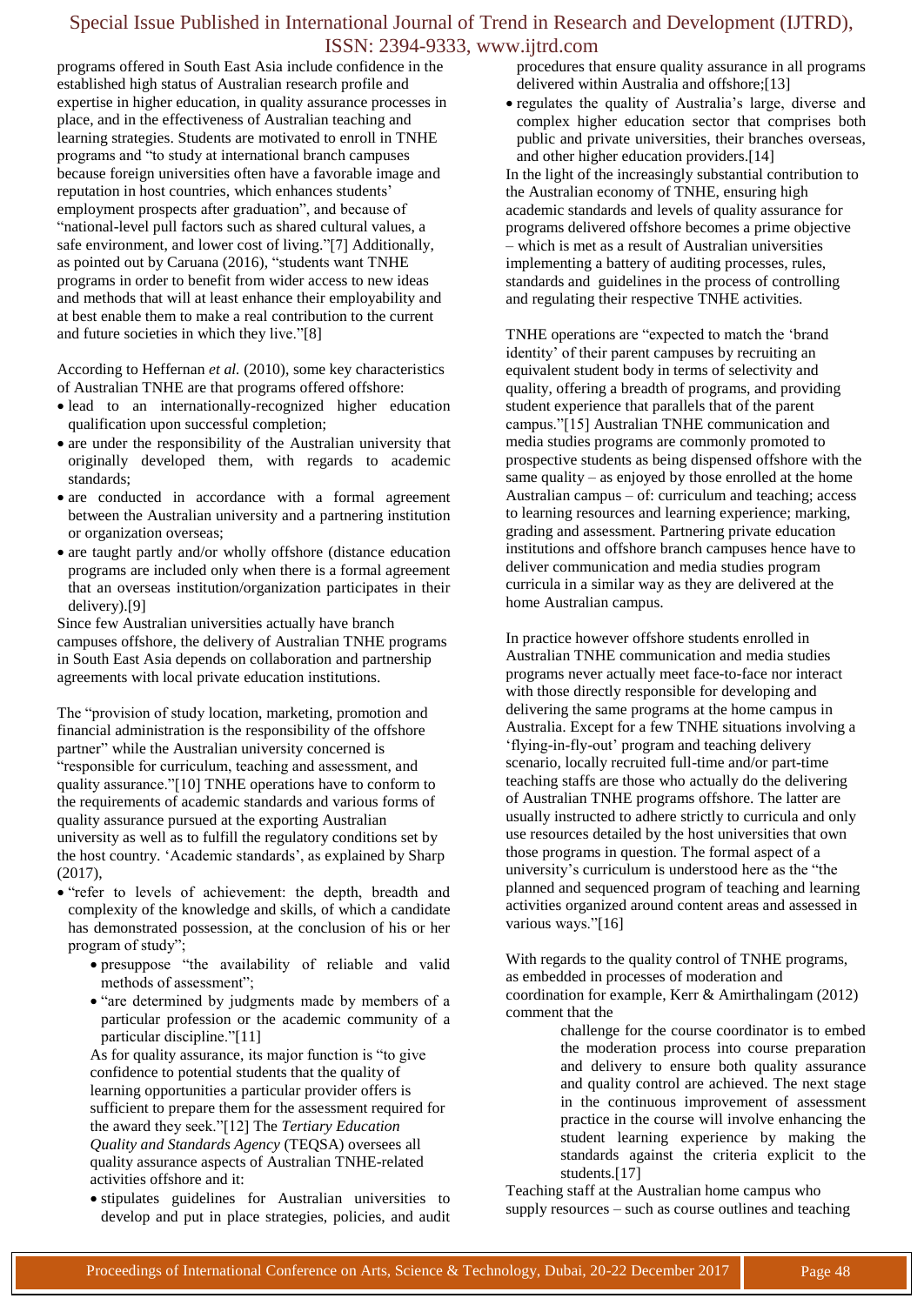programs offered in South East Asia include confidence in the established high status of Australian research profile and expertise in higher education, in quality assurance processes in place, and in the effectiveness of Australian teaching and learning strategies. Students are motivated to enroll in TNHE programs and "to study at international branch campuses" because foreign universities often have a favorable image and reputation in host countries, which enhances students' employment prospects after graduation", and because of ―national-level pull factors such as shared cultural values, a safe environment, and lower cost of living."[7] Additionally, as pointed out by Caruana (2016), "students want TNHE programs in order to benefit from wider access to new ideas and methods that will at least enhance their employability and at best enable them to make a real contribution to the current and future societies in which they live."[8]

According to Heffernan *et al.* (2010), some key characteristics of Australian TNHE are that programs offered offshore:

- lead to an internationally-recognized higher education qualification upon successful completion;
- are under the responsibility of the Australian university that originally developed them, with regards to academic standards;
- are conducted in accordance with a formal agreement between the Australian university and a partnering institution or organization overseas;
- are taught partly and/or wholly offshore (distance education programs are included only when there is a formal agreement that an overseas institution/organization participates in their delivery).[9]

Since few Australian universities actually have branch campuses offshore, the delivery of Australian TNHE programs in South East Asia depends on collaboration and partnership agreements with local private education institutions.

The "provision of study location, marketing, promotion and financial administration is the responsibility of the offshore partner" while the Australian university concerned is ―responsible for curriculum, teaching and assessment, and quality assurance."[10] TNHE operations have to conform to the requirements of academic standards and various forms of quality assurance pursued at the exporting Australian university as well as to fulfill the regulatory conditions set by the host country. 'Academic standards', as explained by Sharp (2017),

- "refer to levels of achievement: the depth, breadth and complexity of the knowledge and skills, of which a candidate has demonstrated possession, at the conclusion of his or her program of study"
	- $\bullet$  presuppose "the availability of reliable and valid methods of assessment";
	- "are determined by judgments made by members of a particular profession or the academic community of a particular discipline."[11]

As for quality assurance, its major function is "to give confidence to potential students that the quality of learning opportunities a particular provider offers is sufficient to prepare them for the assessment required for the award they seek.‖[12] The *Tertiary Education Quality and Standards Agency* (TEQSA) oversees all quality assurance aspects of Australian TNHE-related activities offshore and it:

 stipulates guidelines for Australian universities to develop and put in place strategies, policies, and audit procedures that ensure quality assurance in all programs delivered within Australia and offshore;[13]

 regulates the quality of Australia's large, diverse and complex higher education sector that comprises both public and private universities, their branches overseas, and other higher education providers.[14] In the light of the increasingly substantial contribution to the Australian economy of TNHE, ensuring high academic standards and levels of quality assurance for programs delivered offshore becomes a prime objective – which is met as a result of Australian universities implementing a battery of auditing processes, rules, standards and guidelines in the process of controlling and regulating their respective TNHE activities.

TNHE operations are "expected to match the 'brand identity' of their parent campuses by recruiting an equivalent student body in terms of selectivity and quality, offering a breadth of programs, and providing student experience that parallels that of the parent campus.‖[15] Australian TNHE communication and media studies programs are commonly promoted to prospective students as being dispensed offshore with the same quality – as enjoyed by those enrolled at the home Australian campus – of: curriculum and teaching; access to learning resources and learning experience; marking, grading and assessment. Partnering private education institutions and offshore branch campuses hence have to deliver communication and media studies program curricula in a similar way as they are delivered at the home Australian campus.

In practice however offshore students enrolled in Australian TNHE communication and media studies programs never actually meet face-to-face nor interact with those directly responsible for developing and delivering the same programs at the home campus in Australia. Except for a few TNHE situations involving a ‗flying-in-fly-out' program and teaching delivery scenario, locally recruited full-time and/or part-time teaching staffs are those who actually do the delivering of Australian TNHE programs offshore. The latter are usually instructed to adhere strictly to curricula and only use resources detailed by the host universities that own those programs in question. The formal aspect of a university's curriculum is understood here as the "the planned and sequenced program of teaching and learning activities organized around content areas and assessed in various ways."[16]

With regards to the quality control of TNHE programs, as embedded in processes of moderation and coordination for example, Kerr & Amirthalingam (2012) comment that the

challenge for the course coordinator is to embed the moderation process into course preparation and delivery to ensure both quality assurance and quality control are achieved. The next stage in the continuous improvement of assessment practice in the course will involve enhancing the student learning experience by making the standards against the criteria explicit to the students.[17]

Teaching staff at the Australian home campus who supply resources – such as course outlines and teaching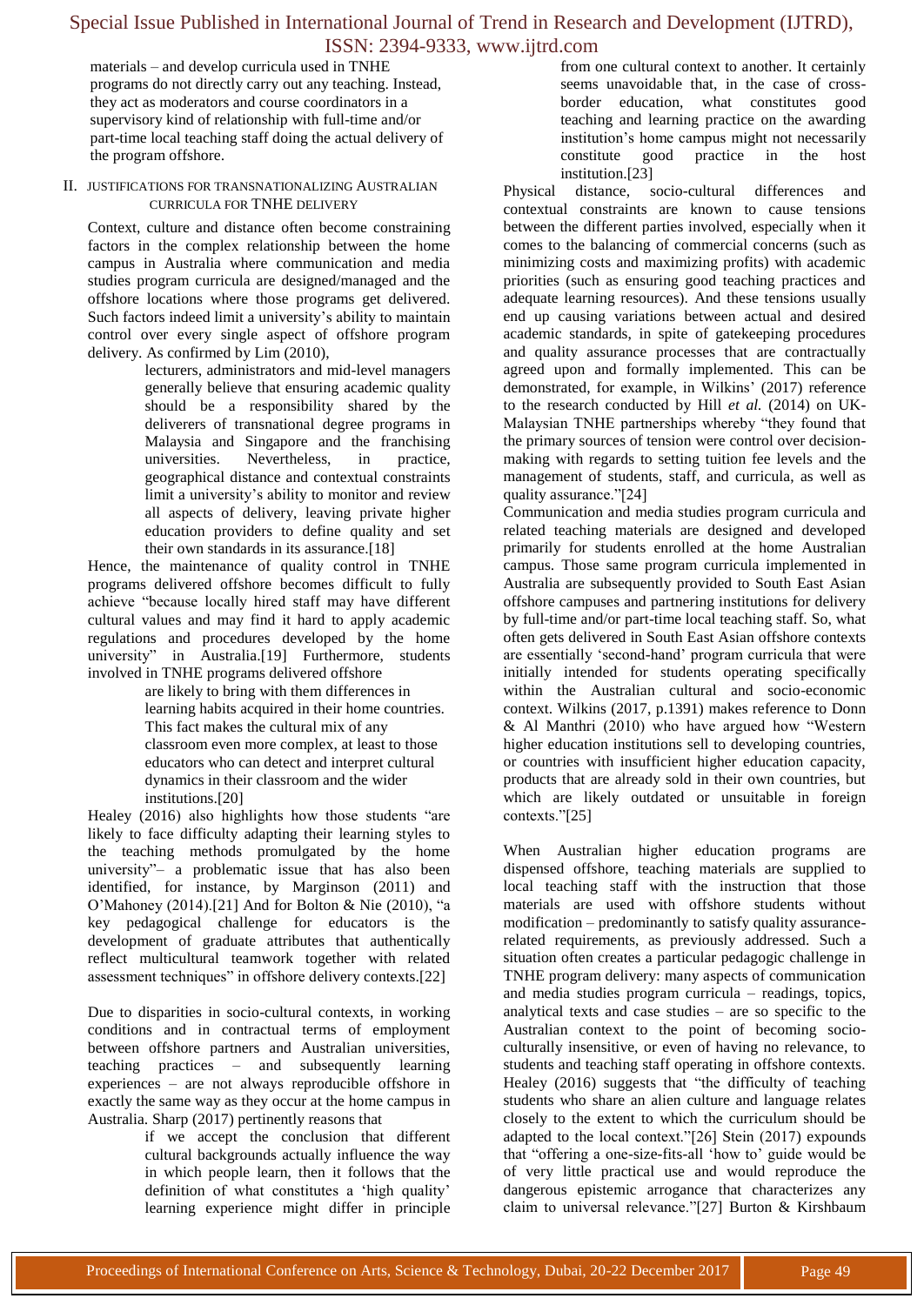materials – and develop curricula used in TNHE programs do not directly carry out any teaching. Instead, they act as moderators and course coordinators in a supervisory kind of relationship with full-time and/or part-time local teaching staff doing the actual delivery of the program offshore.

#### II. JUSTIFICATIONS FOR TRANSNATIONALIZING AUSTRALIAN CURRICULA FOR TNHE DELIVERY

Context, culture and distance often become constraining factors in the complex relationship between the home campus in Australia where communication and media studies program curricula are designed/managed and the offshore locations where those programs get delivered. Such factors indeed limit a university's ability to maintain control over every single aspect of offshore program delivery. As confirmed by Lim (2010),

lecturers, administrators and mid-level managers generally believe that ensuring academic quality should be a responsibility shared by the deliverers of transnational degree programs in Malaysia and Singapore and the franchising universities. Nevertheless, in practice, geographical distance and contextual constraints limit a university's ability to monitor and review all aspects of delivery, leaving private higher education providers to define quality and set their own standards in its assurance.[18]

Hence, the maintenance of quality control in TNHE programs delivered offshore becomes difficult to fully achieve "because locally hired staff may have different cultural values and may find it hard to apply academic regulations and procedures developed by the home university" in Australia.[19] Furthermore, students involved in TNHE programs delivered offshore

> are likely to bring with them differences in learning habits acquired in their home countries. This fact makes the cultural mix of any classroom even more complex, at least to those educators who can detect and interpret cultural dynamics in their classroom and the wider institutions.[20]

Healey (2016) also highlights how those students "are likely to face difficulty adapting their learning styles to the teaching methods promulgated by the home university"- a problematic issue that has also been identified, for instance, by Marginson (2011) and O'Mahoney (2014).[21] And for Bolton & Nie (2010), "a key pedagogical challenge for educators is the development of graduate attributes that authentically reflect multicultural teamwork together with related assessment techniques" in offshore delivery contexts.[22]

Due to disparities in socio-cultural contexts, in working conditions and in contractual terms of employment between offshore partners and Australian universities, teaching practices – and subsequently learning experiences – are not always reproducible offshore in exactly the same way as they occur at the home campus in Australia. Sharp (2017) pertinently reasons that

> if we accept the conclusion that different cultural backgrounds actually influence the way in which people learn, then it follows that the definition of what constitutes a 'high quality' learning experience might differ in principle

from one cultural context to another. It certainly seems unavoidable that, in the case of crossborder education, what constitutes good teaching and learning practice on the awarding institution's home campus might not necessarily constitute good practice in the host institution.[23]

Physical distance, socio-cultural differences and contextual constraints are known to cause tensions between the different parties involved, especially when it comes to the balancing of commercial concerns (such as minimizing costs and maximizing profits) with academic priorities (such as ensuring good teaching practices and adequate learning resources). And these tensions usually end up causing variations between actual and desired academic standards, in spite of gatekeeping procedures and quality assurance processes that are contractually agreed upon and formally implemented. This can be demonstrated, for example, in Wilkins' (2017) reference to the research conducted by Hill *et al.* (2014) on UK-Malaysian TNHE partnerships whereby "they found that the primary sources of tension were control over decisionmaking with regards to setting tuition fee levels and the management of students, staff, and curricula, as well as quality assurance."[24]

Communication and media studies program curricula and related teaching materials are designed and developed primarily for students enrolled at the home Australian campus. Those same program curricula implemented in Australia are subsequently provided to South East Asian offshore campuses and partnering institutions for delivery by full-time and/or part-time local teaching staff. So, what often gets delivered in South East Asian offshore contexts are essentially 'second-hand' program curricula that were initially intended for students operating specifically within the Australian cultural and socio-economic context. Wilkins (2017, p.1391) makes reference to Donn  $&$  Al Manthri (2010) who have argued how "Western higher education institutions sell to developing countries, or countries with insufficient higher education capacity, products that are already sold in their own countries, but which are likely outdated or unsuitable in foreign contexts."[25]

When Australian higher education programs are dispensed offshore, teaching materials are supplied to local teaching staff with the instruction that those materials are used with offshore students without modification – predominantly to satisfy quality assurancerelated requirements, as previously addressed. Such a situation often creates a particular pedagogic challenge in TNHE program delivery: many aspects of communication and media studies program curricula – readings, topics, analytical texts and case studies – are so specific to the Australian context to the point of becoming socioculturally insensitive, or even of having no relevance, to students and teaching staff operating in offshore contexts. Healey  $(2016)$  suggests that "the difficulty of teaching students who share an alien culture and language relates closely to the extent to which the curriculum should be adapted to the local context." $[26]$  Stein (2017) expounds that "offering a one-size-fits-all 'how to' guide would be of very little practical use and would reproduce the dangerous epistemic arrogance that characterizes any claim to universal relevance."[27] Burton & Kirshbaum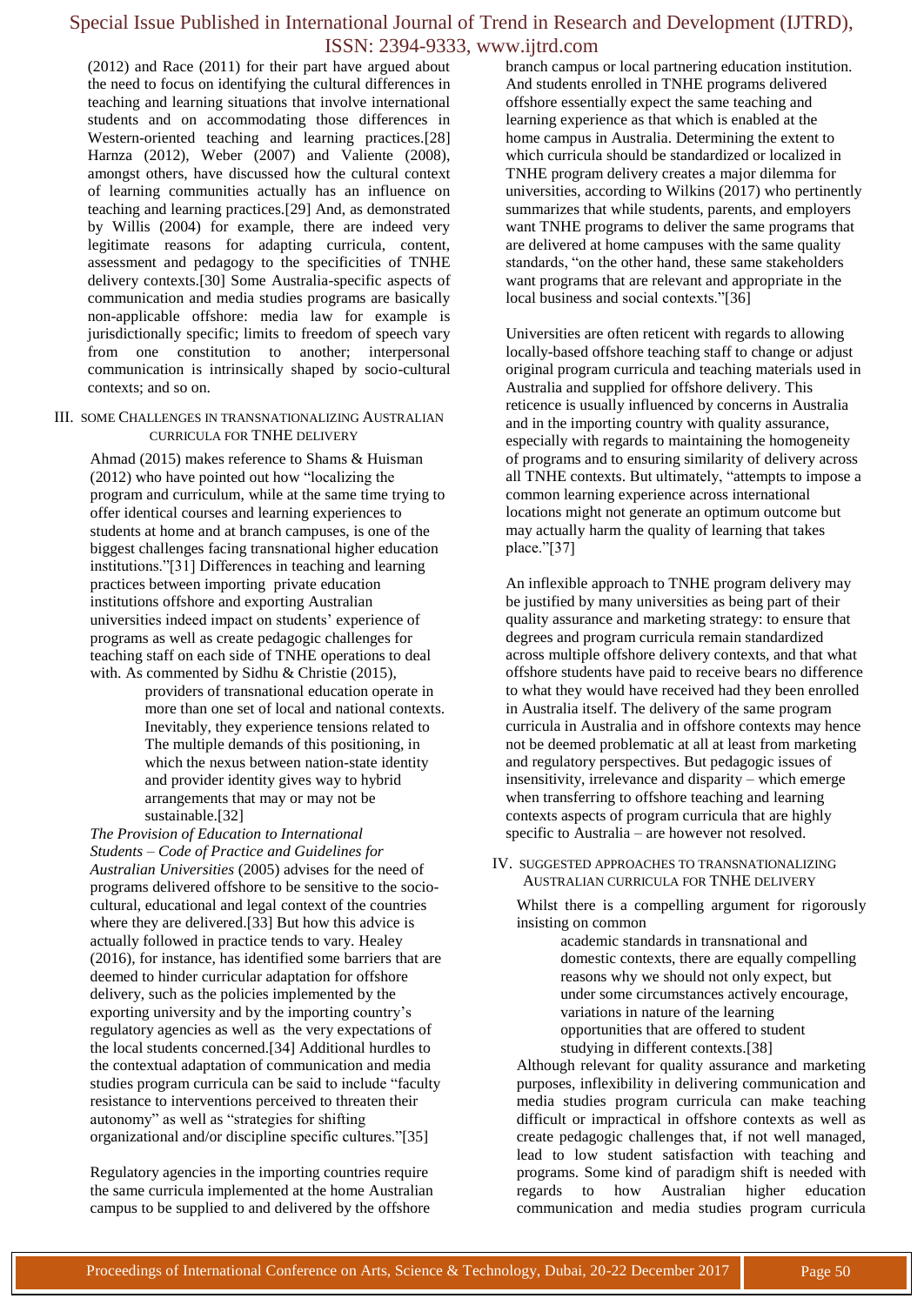(2012) and Race (2011) for their part have argued about the need to focus on identifying the cultural differences in teaching and learning situations that involve international students and on accommodating those differences in Western-oriented teaching and learning practices.[28] Harnza (2012), Weber (2007) and Valiente (2008), amongst others, have discussed how the cultural context of learning communities actually has an influence on teaching and learning practices.[29] And, as demonstrated by Willis (2004) for example, there are indeed very legitimate reasons for adapting curricula, content, assessment and pedagogy to the specificities of TNHE delivery contexts.[30] Some Australia-specific aspects of communication and media studies programs are basically non-applicable offshore: media law for example is jurisdictionally specific; limits to freedom of speech vary from one constitution to another; interpersonal communication is intrinsically shaped by socio-cultural contexts; and so on.

III. SOME CHALLENGES IN TRANSNATIONALIZING AUSTRALIAN CURRICULA FOR TNHE DELIVERY

Ahmad (2015) makes reference to Shams & Huisman  $(2012)$  who have pointed out how "localizing the program and curriculum, while at the same time trying to offer identical courses and learning experiences to students at home and at branch campuses, is one of the biggest challenges facing transnational higher education institutions."[31] Differences in teaching and learning practices between importing private education institutions offshore and exporting Australian universities indeed impact on students' experience of programs as well as create pedagogic challenges for teaching staff on each side of TNHE operations to deal with. As commented by Sidhu & Christie (2015),

providers of transnational education operate in more than one set of local and national contexts. Inevitably, they experience tensions related to The multiple demands of this positioning, in which the nexus between nation-state identity and provider identity gives way to hybrid arrangements that may or may not be sustainable.[32]

*The Provision of Education to International Students – Code of Practice and Guidelines for Australian Universities* (2005) advises for the need of programs delivered offshore to be sensitive to the sociocultural, educational and legal context of the countries where they are delivered.[33] But how this advice is actually followed in practice tends to vary. Healey (2016), for instance, has identified some barriers that are deemed to hinder curricular adaptation for offshore delivery, such as the policies implemented by the exporting university and by the importing country's regulatory agencies as well as the very expectations of the local students concerned.[34] Additional hurdles to the contextual adaptation of communication and media studies program curricula can be said to include "faculty" resistance to interventions perceived to threaten their autonomy" as well as "strategies for shifting organizational and/or discipline specific cultures."[35]

Regulatory agencies in the importing countries require the same curricula implemented at the home Australian campus to be supplied to and delivered by the offshore

branch campus or local partnering education institution. And students enrolled in TNHE programs delivered offshore essentially expect the same teaching and learning experience as that which is enabled at the home campus in Australia. Determining the extent to which curricula should be standardized or localized in TNHE program delivery creates a major dilemma for universities, according to Wilkins (2017) who pertinently summarizes that while students, parents, and employers want TNHE programs to deliver the same programs that are delivered at home campuses with the same quality standards, "on the other hand, these same stakeholders want programs that are relevant and appropriate in the local business and social contexts."[36]

Universities are often reticent with regards to allowing locally-based offshore teaching staff to change or adjust original program curricula and teaching materials used in Australia and supplied for offshore delivery. This reticence is usually influenced by concerns in Australia and in the importing country with quality assurance, especially with regards to maintaining the homogeneity of programs and to ensuring similarity of delivery across all TNHE contexts. But ultimately, "attempts to impose a common learning experience across international locations might not generate an optimum outcome but may actually harm the quality of learning that takes place."[37]

An inflexible approach to TNHE program delivery may be justified by many universities as being part of their quality assurance and marketing strategy: to ensure that degrees and program curricula remain standardized across multiple offshore delivery contexts, and that what offshore students have paid to receive bears no difference to what they would have received had they been enrolled in Australia itself. The delivery of the same program curricula in Australia and in offshore contexts may hence not be deemed problematic at all at least from marketing and regulatory perspectives. But pedagogic issues of insensitivity, irrelevance and disparity – which emerge when transferring to offshore teaching and learning contexts aspects of program curricula that are highly specific to Australia – are however not resolved.

IV. SUGGESTED APPROACHES TO TRANSNATIONALIZING AUSTRALIAN CURRICULA FOR TNHE DELIVERY

Whilst there is a compelling argument for rigorously insisting on common

> academic standards in transnational and domestic contexts, there are equally compelling reasons why we should not only expect, but under some circumstances actively encourage, variations in nature of the learning opportunities that are offered to student studying in different contexts.[38]

Although relevant for quality assurance and marketing purposes, inflexibility in delivering communication and media studies program curricula can make teaching difficult or impractical in offshore contexts as well as create pedagogic challenges that, if not well managed, lead to low student satisfaction with teaching and programs. Some kind of paradigm shift is needed with regards to how Australian higher education communication and media studies program curricula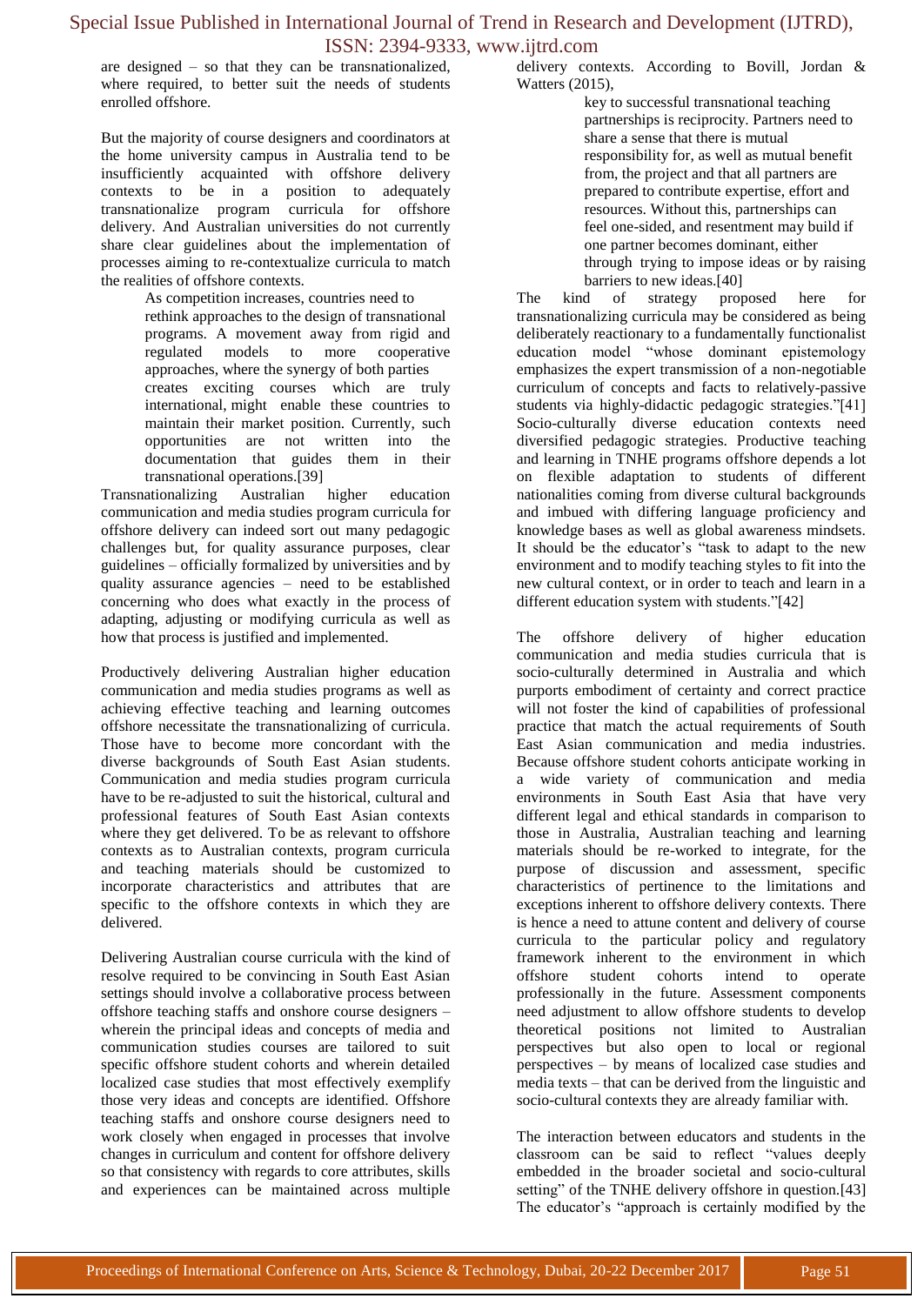are designed – so that they can be transnationalized, where required, to better suit the needs of students enrolled offshore.

But the majority of course designers and coordinators at the home university campus in Australia tend to be insufficiently acquainted with offshore delivery contexts to be in a position to adequately transnationalize program curricula for offshore delivery. And Australian universities do not currently share clear guidelines about the implementation of processes aiming to re-contextualize curricula to match the realities of offshore contexts.

As competition increases, countries need to

rethink approaches to the design of transnational programs. A movement away from rigid and regulated models to more cooperative approaches, where the synergy of both parties creates exciting courses which are truly international, might enable these countries to maintain their market position. Currently, such opportunities are not written into the documentation that guides them in their transnational operations.[39]

Transnationalizing Australian higher education communication and media studies program curricula for offshore delivery can indeed sort out many pedagogic challenges but, for quality assurance purposes, clear guidelines – officially formalized by universities and by quality assurance agencies – need to be established concerning who does what exactly in the process of adapting, adjusting or modifying curricula as well as how that process is justified and implemented.

Productively delivering Australian higher education communication and media studies programs as well as achieving effective teaching and learning outcomes offshore necessitate the transnationalizing of curricula. Those have to become more concordant with the diverse backgrounds of South East Asian students. Communication and media studies program curricula have to be re-adjusted to suit the historical, cultural and professional features of South East Asian contexts where they get delivered. To be as relevant to offshore contexts as to Australian contexts, program curricula and teaching materials should be customized to incorporate characteristics and attributes that are specific to the offshore contexts in which they are delivered.

Delivering Australian course curricula with the kind of resolve required to be convincing in South East Asian settings should involve a collaborative process between offshore teaching staffs and onshore course designers – wherein the principal ideas and concepts of media and communication studies courses are tailored to suit specific offshore student cohorts and wherein detailed localized case studies that most effectively exemplify those very ideas and concepts are identified. Offshore teaching staffs and onshore course designers need to work closely when engaged in processes that involve changes in curriculum and content for offshore delivery so that consistency with regards to core attributes, skills and experiences can be maintained across multiple

delivery contexts. According to Bovill, Jordan & Watters (2015),

> key to successful transnational teaching partnerships is reciprocity. Partners need to share a sense that there is mutual responsibility for, as well as mutual benefit from, the project and that all partners are prepared to contribute expertise, effort and resources. Without this, partnerships can feel one-sided, and resentment may build if one partner becomes dominant, either through trying to impose ideas or by raising barriers to new ideas.[40]

The kind of strategy proposed here for transnationalizing curricula may be considered as being deliberately reactionary to a fundamentally functionalist education model "whose dominant epistemology emphasizes the expert transmission of a non-negotiable curriculum of concepts and facts to relatively-passive students via highly-didactic pedagogic strategies."[41] Socio-culturally diverse education contexts need diversified pedagogic strategies. Productive teaching and learning in TNHE programs offshore depends a lot on flexible adaptation to students of different nationalities coming from diverse cultural backgrounds and imbued with differing language proficiency and knowledge bases as well as global awareness mindsets. It should be the educator's "task to adapt to the new environment and to modify teaching styles to fit into the new cultural context, or in order to teach and learn in a different education system with students."[42]

The offshore delivery of higher education communication and media studies curricula that is socio-culturally determined in Australia and which purports embodiment of certainty and correct practice will not foster the kind of capabilities of professional practice that match the actual requirements of South East Asian communication and media industries. Because offshore student cohorts anticipate working in a wide variety of communication and media environments in South East Asia that have very different legal and ethical standards in comparison to those in Australia, Australian teaching and learning materials should be re-worked to integrate, for the purpose of discussion and assessment, specific characteristics of pertinence to the limitations and exceptions inherent to offshore delivery contexts. There is hence a need to attune content and delivery of course curricula to the particular policy and regulatory framework inherent to the environment in which offshore student cohorts intend to operate professionally in the future. Assessment components need adjustment to allow offshore students to develop theoretical positions not limited to Australian perspectives but also open to local or regional perspectives – by means of localized case studies and media texts – that can be derived from the linguistic and socio-cultural contexts they are already familiar with.

The interaction between educators and students in the classroom can be said to reflect "values deeply embedded in the broader societal and socio-cultural setting" of the TNHE delivery offshore in question.[43] The educator's "approach is certainly modified by the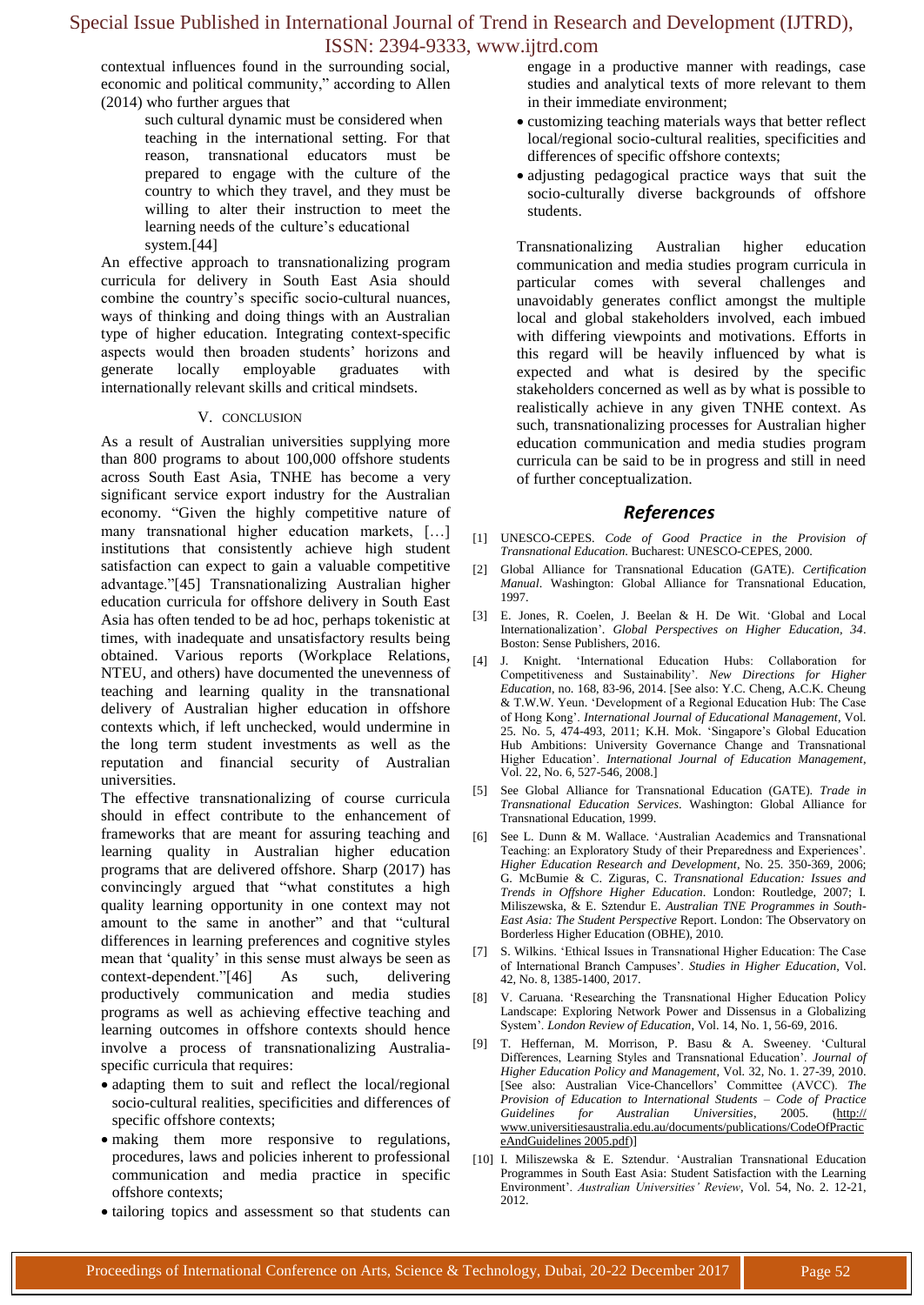contextual influences found in the surrounding social, economic and political community," according to Allen (2014) who further argues that

> such cultural dynamic must be considered when teaching in the international setting. For that reason, transnational educators must be prepared to engage with the culture of the country to which they travel, and they must be willing to alter their instruction to meet the learning needs of the culture's educational system.[44]

An effective approach to transnationalizing program curricula for delivery in South East Asia should combine the country's specific socio-cultural nuances, ways of thinking and doing things with an Australian type of higher education. Integrating context-specific aspects would then broaden students' horizons and generate locally employable graduates with internationally relevant skills and critical mindsets.

#### V. CONCLUSION

As a result of Australian universities supplying more than 800 programs to about 100,000 offshore students across South East Asia, TNHE has become a very significant service export industry for the Australian economy. "Given the highly competitive nature of many transnational higher education markets, […] institutions that consistently achieve high student satisfaction can expect to gain a valuable competitive advantage."[45] Transnationalizing Australian higher education curricula for offshore delivery in South East Asia has often tended to be ad hoc, perhaps tokenistic at times, with inadequate and unsatisfactory results being obtained. Various reports (Workplace Relations, NTEU, and others) have documented the unevenness of teaching and learning quality in the transnational delivery of Australian higher education in offshore contexts which, if left unchecked, would undermine in the long term student investments as well as the reputation and financial security of Australian universities.

The effective transnationalizing of course curricula should in effect contribute to the enhancement of frameworks that are meant for assuring teaching and learning quality in Australian higher education programs that are delivered offshore. Sharp (2017) has convincingly argued that "what constitutes a high quality learning opportunity in one context may not amount to the same in another" and that "cultural differences in learning preferences and cognitive styles mean that 'quality' in this sense must always be seen as context-dependent."[46] As such, delivering productively communication and media studies programs as well as achieving effective teaching and learning outcomes in offshore contexts should hence involve a process of transnationalizing Australiaspecific curricula that requires:

- adapting them to suit and reflect the local/regional socio-cultural realities, specificities and differences of specific offshore contexts;
- making them more responsive to regulations, procedures, laws and policies inherent to professional communication and media practice in specific offshore contexts;
- tailoring topics and assessment so that students can

engage in a productive manner with readings, case studies and analytical texts of more relevant to them in their immediate environment;

- customizing teaching materials ways that better reflect local/regional socio-cultural realities, specificities and differences of specific offshore contexts;
- adjusting pedagogical practice ways that suit the socio-culturally diverse backgrounds of offshore students.

Transnationalizing Australian higher education communication and media studies program curricula in particular comes with several challenges and unavoidably generates conflict amongst the multiple local and global stakeholders involved, each imbued with differing viewpoints and motivations. Efforts in this regard will be heavily influenced by what is expected and what is desired by the specific stakeholders concerned as well as by what is possible to realistically achieve in any given TNHE context. As such, transnationalizing processes for Australian higher education communication and media studies program curricula can be said to be in progress and still in need of further conceptualization.

### *References*

- [1] UNESCO-CEPES. *Code of Good Practice in the Provision of Transnational Education*. Bucharest: UNESCO-CEPES, 2000.
- [2] Global Alliance for Transnational Education (GATE). *Certification Manual*. Washington: Global Alliance for Transnational Education, 1997.
- [3] E. Jones, R. Coelen, J. Beelan & H. De Wit. ‗Global and Local Internationalization'. *Global Perspectives on Higher Education, 34*. Boston: Sense Publishers, 2016.
- [4] J. Knight. 'International Education Hubs: Collaboration for Competitiveness and Sustainability'. *New Directions for Higher Education*, no. 168, 83-96, 2014. [See also: Y.C. Cheng, A.C.K. Cheung & T.W.W. Yeun. ‗Development of a Regional Education Hub: The Case of Hong Kong'. *International Journal of Educational Management*, Vol. 25. No. 5, 474-493, 2011; K.H. Mok. ‗Singapore's Global Education Hub Ambitions: University Governance Change and Transnational Higher Education'. *International Journal of Education Management*, Vol. 22, No. 6, 527-546, 2008.]
- [5] See Global Alliance for Transnational Education (GATE). *Trade in Transnational Education Services*. Washington: Global Alliance for Transnational Education, 1999.
- [6] See L. Dunn & M. Wallace. ‗Australian Academics and Transnational Teaching: an Exploratory Study of their Preparedness and Experiences'. *Higher Education Research and Development*, No. 25*.* 350-369, 2006; G. McBumie & C. Ziguras, C. *Transnational Education: Issues and Trends in Offshore Higher Education*. London: Routledge, 2007; I. Miliszewska, & E. Sztendur E. *Australian TNE Programmes in South-East Asia: The Student Perspective* Report. London: The Observatory on Borderless Higher Education (OBHE), 2010.
- [7] S. Wilkins. ‗Ethical Issues in Transnational Higher Education: The Case of International Branch Campuses'. *Studies in Higher Education*, Vol. 42, No. 8, 1385-1400, 2017.
- [8] V. Caruana. 'Researching the Transnational Higher Education Policy Landscape: Exploring Network Power and Dissensus in a Globalizing System'. *London Review of Education*, Vol. 14, No. 1, 56-69, 2016.
- [9] T. Heffernan, M. Morrison, P. Basu & A. Sweeney. 'Cultural Differences, Learning Styles and Transnational Education'. *Journal of Higher Education Policy and Management*, Vol. 32, No. 1. 27-39, 2010. [See also: Australian Vice-Chancellors' Committee (AVCC). *The Provision of Education to International Students – Code of Practice Guidelines for Australian Universities*, 2005. (http:// www.universitiesaustralia.edu.au/documents/publications/CodeOfPractic eAndGuidelines 2005.pdf)]
- [10] I. Miliszewska & E. Sztendur. ‗Australian Transnational Education Programmes in South East Asia: Student Satisfaction with the Learning Environment'. *Australian Universities' Review*, Vol. 54, No. 2. 12-21, 2012.